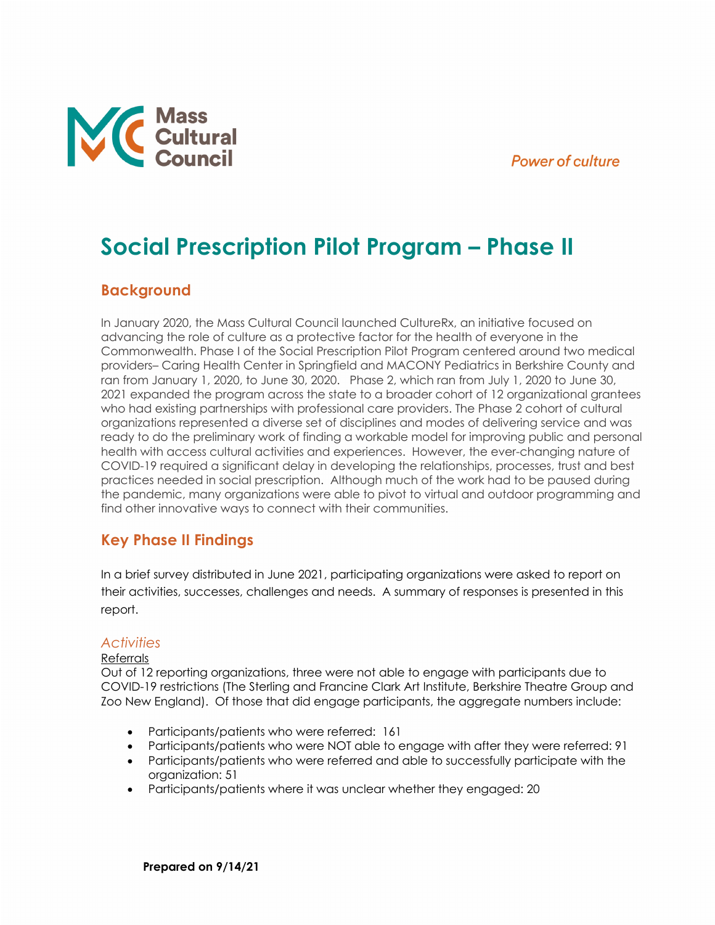## **Power of culture**



# **Social Prescription Pilot Program – Phase II**

# **Background**

In January 2020, the Mass Cultural Council launched CultureRx, an initiative focused on advancing the role of culture as a protective factor for the health of everyone in the Commonwealth. Phase I of the Social Prescription Pilot Program centered around two medical providers– Caring Health Center in Springfield and MACONY Pediatrics in Berkshire County and ran from January 1, 2020, to June 30, 2020. Phase 2, which ran from July 1, 2020 to June 30, 2021 expanded the program across the state to a broader cohort of 12 organizational grantees who had existing partnerships with professional care providers. The Phase 2 cohort of cultural organizations represented a diverse set of disciplines and modes of delivering service and was ready to do the preliminary work of finding a workable model for improving public and personal health with access cultural activities and experiences. However, the ever-changing nature of COVID-19 required a significant delay in developing the relationships, processes, trust and best practices needed in social prescription. Although much of the work had to be paused during the pandemic, many organizations were able to pivot to virtual and outdoor programming and find other innovative ways to connect with their communities.

# **Key Phase II Findings**

In a brief survey distributed in June 2021, participating organizations were asked to report on their activities, successes, challenges and needs. A summary of responses is presented in this report.

## *Activities*

#### Referrals

Out of 12 reporting organizations, three were not able to engage with participants due to COVID-19 restrictions (The Sterling and Francine Clark Art Institute, Berkshire Theatre Group and Zoo New England). Of those that did engage participants, the aggregate numbers include:

- Participants/patients who were referred: 161
- Participants/patients who were NOT able to engage with after they were referred: 91
- Participants/patients who were referred and able to successfully participate with the organization: 51
- Participants/patients where it was unclear whether they engaged: 20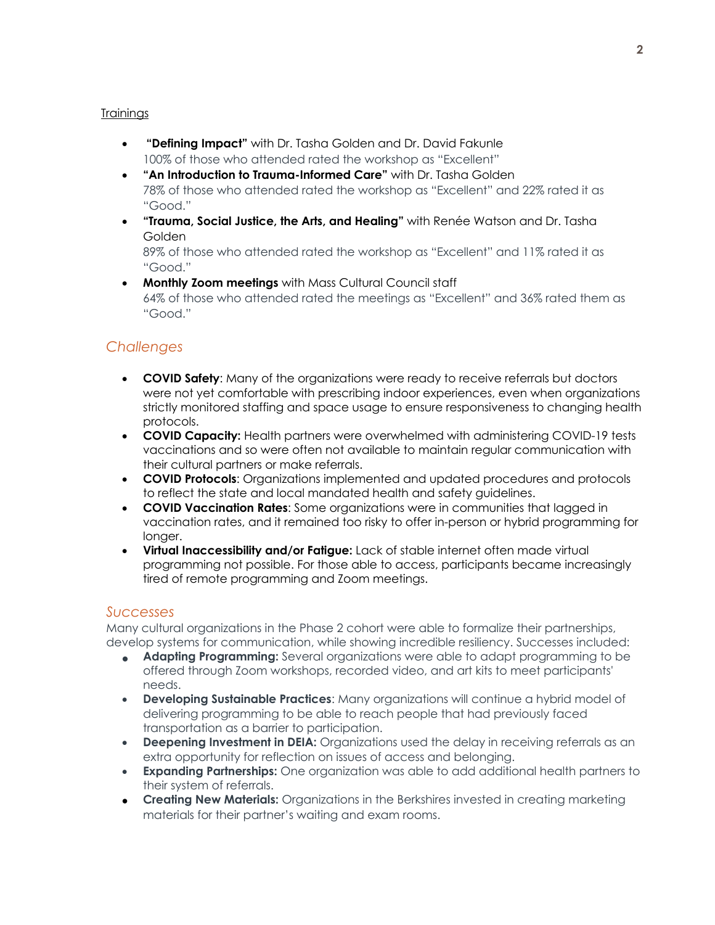#### **Trainings**

- **"Defining Impact"** with Dr. Tasha Golden and Dr. David Fakunle 100% of those who attended rated the workshop as "Excellent"
- **"An Introduction to Trauma-Informed Care"** with Dr. Tasha Golden 78% of those who attended rated the workshop as "Excellent" and 22% rated it as "Good."
- **"Trauma, Social Justice, the Arts, and Healing"** with Renée Watson and Dr. Tasha Golden

89% of those who attended rated the workshop as "Excellent" and 11% rated it as "Good."

• **Monthly Zoom meetings** with Mass Cultural Council staff 64% of those who attended rated the meetings as "Excellent" and 36% rated them as "Good."

## *Challenges*

- **COVID Safety**: Many of the organizations were ready to receive referrals but doctors were not yet comfortable with prescribing indoor experiences, even when organizations strictly monitored staffing and space usage to ensure responsiveness to changing health protocols.
- **COVID Capacity:** Health partners were overwhelmed with administering COVID-19 tests vaccinations and so were often not available to maintain regular communication with their cultural partners or make referrals.
- **COVID Protocols**: Organizations implemented and updated procedures and protocols to reflect the state and local mandated health and safety guidelines.
- **COVID Vaccination Rates**: Some organizations were in communities that lagged in vaccination rates, and it remained too risky to offer in-person or hybrid programming for longer.
- **Virtual Inaccessibility and/or Fatigue:** Lack of stable internet often made virtual programming not possible. For those able to access, participants became increasingly tired of remote programming and Zoom meetings.

#### *Successes*

Many cultural organizations in the Phase 2 cohort were able to formalize their partnerships, develop systems for communication, while showing incredible resiliency. Successes included:

- **Adapting Programming:** Several organizations were able to adapt programming to be offered through Zoom workshops, recorded video, and art kits to meet participants' needs.
- **Developing Sustainable Practices**: Many organizations will continue a hybrid model of delivering programming to be able to reach people that had previously faced transportation as a barrier to participation.
- **Deepening Investment in DEIA:** Organizations used the delay in receiving referrals as an extra opportunity for reflection on issues of access and belonging.
- **Expanding Partnerships:** One organization was able to add additional health partners to their system of referrals.
- **Creating New Materials:** Organizations in the Berkshires invested in creating marketing materials for their partner's waiting and exam rooms.